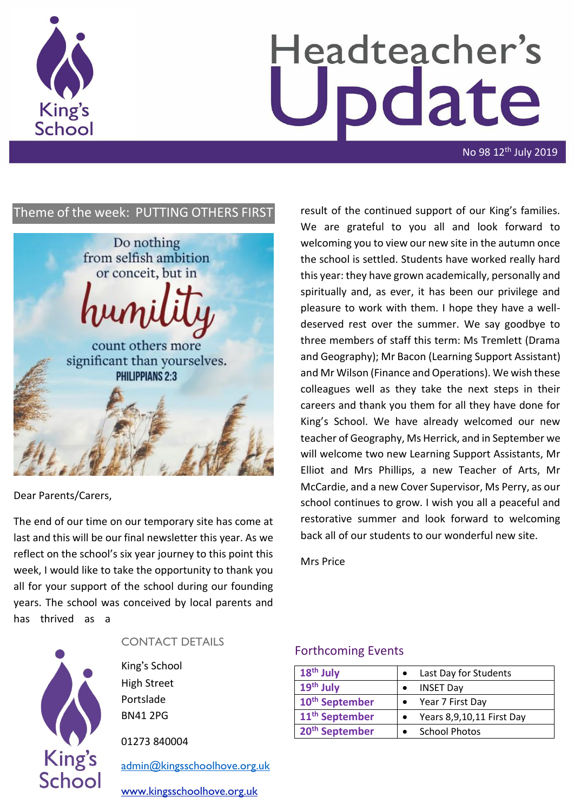

# Headteacher's **pdate**

No 98 12<sup>th</sup> July 2019

# Theme of the week: PUTTING OTHERS FIRST



### Dear Parents/Carers,

The end of our time on our temporary site has come at last and this will be our final newsletter this year. As we reflect on the school's six year journey to this point this week, I would like to take the opportunity to thank you all for your support of the school during our founding years. The school was conceived by local parents and has thrived as a



# CONTACT DETAILS

King's School High Street Portslade BN41 2PG

01273 840004

[admin@kingsschoolhove.org.uk](mailto:admin@kingsschoolhove.org.uk)

[www.kingsschoolhove.org.uk](http://www.kingsschoolhove.org.uk/)

result of the continued support of our King's families. We are grateful to you all and look forward to welcoming you to view our new site in the autumn once the school is settled. Students have worked really hard this year: they have grown academically, personally and spiritually and, as ever, it has been our privilege and pleasure to work with them. I hope they have a welldeserved rest over the summer. We say goodbye to three members of staff this term: Ms Tremlett (Drama and Geography); Mr Bacon (Learning Support Assistant) and Mr Wilson (Finance and Operations). We wish these colleagues well as they take the next steps in their careers and thank you them for all they have done for King's School. We have already welcomed our new teacher of Geography, Ms Herrick, and in September we will welcome two new Learning Support Assistants, Mr Elliot and Mrs Phillips, a new Teacher of Arts, Mr McCardie, and a new Cover Supervisor, Ms Perry, as our school continues to grow. I wish you all a peaceful and restorative summer and look forward to welcoming back all of our students to our wonderful new site.

Mrs Price

### Forthcoming Events

| 18 <sup>th</sup> July      | Last Day for Students     |  |
|----------------------------|---------------------------|--|
| 19 <sup>th</sup> July      | <b>INSET Day</b>          |  |
| 10 <sup>th</sup> September | Year 7 First Day          |  |
| 11 <sup>th</sup> September | Years 8,9,10,11 First Day |  |
| 20 <sup>th</sup> September | <b>School Photos</b>      |  |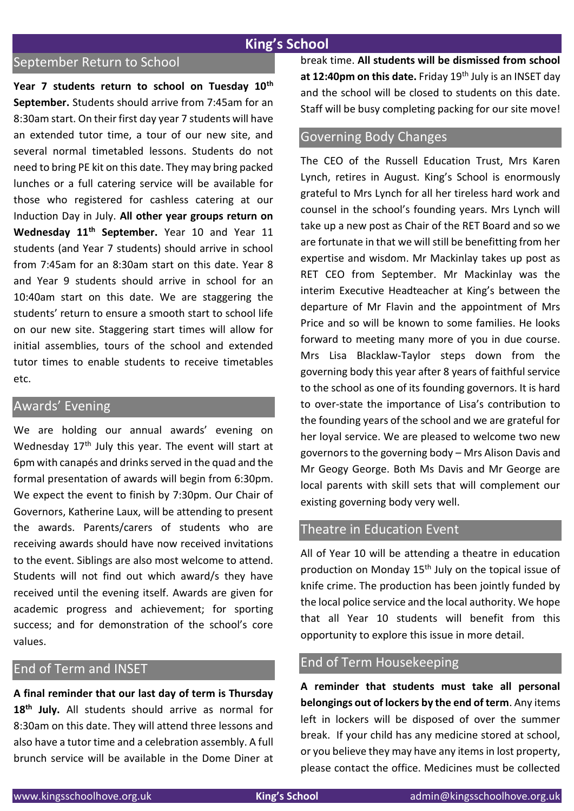# **King's School**

# September Return to School

**Year 7 students return to school on Tuesday 10th September.** Students should arrive from 7:45am for an 8:30am start. On their first day year 7 students will have an extended tutor time, a tour of our new site, and several normal timetabled lessons. Students do not need to bring PE kit on this date. They may bring packed lunches or a full catering service will be available for those who registered for cashless catering at our Induction Day in July. **All other year groups return on Wednesday 11th September.** Year 10 and Year 11 students (and Year 7 students) should arrive in school from 7:45am for an 8:30am start on this date. Year 8 and Year 9 students should arrive in school for an 10:40am start on this date. We are staggering the students' return to ensure a smooth start to school life on our new site. Staggering start times will allow for initial assemblies, tours of the school and extended tutor times to enable students to receive timetables etc.

### Awards' Evening

We are holding our annual awards' evening on Wednesday 17<sup>th</sup> July this year. The event will start at 6pm with canapés and drinks served in the quad and the formal presentation of awards will begin from 6:30pm. We expect the event to finish by 7:30pm. Our Chair of Governors, Katherine Laux, will be attending to present the awards. Parents/carers of students who are receiving awards should have now received invitations to the event. Siblings are also most welcome to attend. Students will not find out which award/s they have received until the evening itself. Awards are given for academic progress and achievement; for sporting success; and for demonstration of the school's core values.

# End of Term and INSET

**A final reminder that our last day of term is Thursday 18th July.** All students should arrive as normal for 8:30am on this date. They will attend three lessons and also have a tutor time and a celebration assembly. A full brunch service will be available in the Dome Diner at break time. **All students will be dismissed from school**  at 12:40pm on this date. Friday 19<sup>th</sup> July is an INSET day and the school will be closed to students on this date. Staff will be busy completing packing for our site move!

### Governing Body Changes

The CEO of the Russell Education Trust, Mrs Karen Lynch, retires in August. King's School is enormously grateful to Mrs Lynch for all her tireless hard work and counsel in the school's founding years. Mrs Lynch will take up a new post as Chair of the RET Board and so we are fortunate in that we will still be benefitting from her expertise and wisdom. Mr Mackinlay takes up post as RET CEO from September. Mr Mackinlay was the interim Executive Headteacher at King's between the departure of Mr Flavin and the appointment of Mrs Price and so will be known to some families. He looks forward to meeting many more of you in due course. Mrs Lisa Blacklaw-Taylor steps down from the governing body this year after 8 years of faithful service to the school as one of its founding governors. It is hard to over-state the importance of Lisa's contribution to the founding years of the school and we are grateful for her loyal service. We are pleased to welcome two new governors to the governing body – Mrs Alison Davis and Mr Geogy George. Both Ms Davis and Mr George are local parents with skill sets that will complement our existing governing body very well.

# Theatre in Education Event

All of Year 10 will be attending a theatre in education production on Monday 15<sup>th</sup> July on the topical issue of knife crime. The production has been jointly funded by the local police service and the local authority. We hope that all Year 10 students will benefit from this opportunity to explore this issue in more detail.

# End of Term Housekeeping

**A reminder that students must take all personal belongings out of lockers by the end of term**. Any items left in lockers will be disposed of over the summer break. If your child has any medicine stored at school, or you believe they may have any items in lost property, please contact the office. Medicines must be collected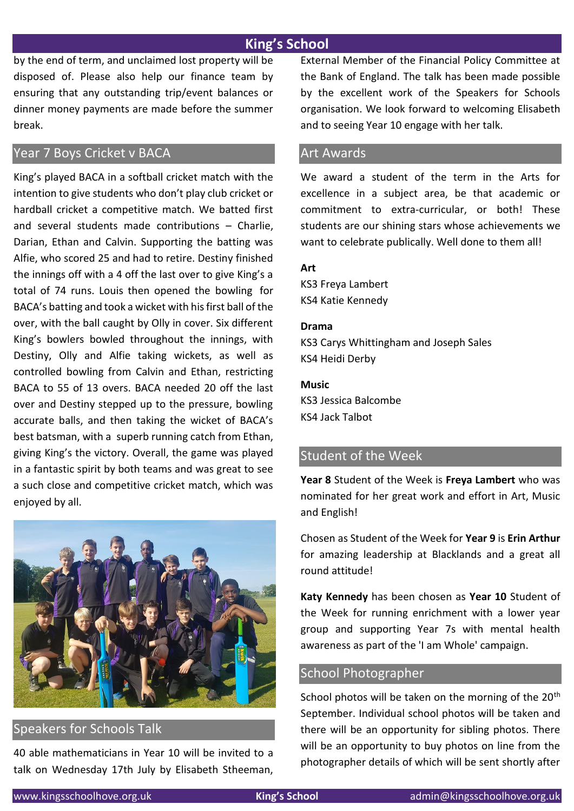# **King's School**

by the end of term, and unclaimed lost property will be disposed of. Please also help our finance team by ensuring that any outstanding trip/event balances or dinner money payments are made before the summer break.

# Year 7 Boys Cricket v BACA

King's played BACA in a softball cricket match with the intention to give students who don't play club cricket or hardball cricket a competitive match. We batted first and several students made contributions – Charlie, Darian, Ethan and Calvin. Supporting the batting was Alfie, who scored 25 and had to retire. Destiny finished the innings off with a 4 off the last over to give King's a total of 74 runs. Louis then opened the bowling for BACA's batting and took a wicket with his first ball of the over, with the ball caught by Olly in cover. Six different King's bowlers bowled throughout the innings, with Destiny, Olly and Alfie taking wickets, as well as controlled bowling from Calvin and Ethan, restricting BACA to 55 of 13 overs. BACA needed 20 off the last over and Destiny stepped up to the pressure, bowling accurate balls, and then taking the wicket of BACA's best batsman, with a superb running catch from Ethan, giving King's the victory. Overall, the game was played in a fantastic spirit by both teams and was great to see a such close and competitive cricket match, which was enjoyed by all.



# Speakers for Schools Talk

40 able mathematicians in Year 10 will be invited to a talk on Wednesday 17th July by Elisabeth Stheeman, External Member of the Financial Policy Committee at the Bank of England. The talk has been made possible by the excellent work of the Speakers for Schools organisation. We look forward to welcoming Elisabeth and to seeing Year 10 engage with her talk.

### Art Awards

We award a student of the term in the Arts for excellence in a subject area, be that academic or commitment to extra-curricular, or both! These students are our shining stars whose achievements we want to celebrate publically. Well done to them all!

### **Art**

KS3 Freya Lambert KS4 Katie Kennedy

### **Drama**

KS3 Carys Whittingham and Joseph Sales KS4 Heidi Derby

### **Music**

KS3 Jessica Balcombe KS4 Jack Talbot

# Student of the Week

**Year 8** Student of the Week is **Freya Lambert** who was nominated for her great work and effort in Art, Music and English!

Chosen as Student of the Week for **Year 9** is **Erin Arthur** for amazing leadership at Blacklands and a great all round attitude!

**Katy Kennedy** has been chosen as **Year 10** Student of the Week for running enrichment with a lower year group and supporting Year 7s with mental health awareness as part of the 'I am Whole' campaign.

### School Photographer

School photos will be taken on the morning of the 20<sup>th</sup> September. Individual school photos will be taken and there will be an opportunity for sibling photos. There will be an opportunity to buy photos on line from the photographer details of which will be sent shortly after